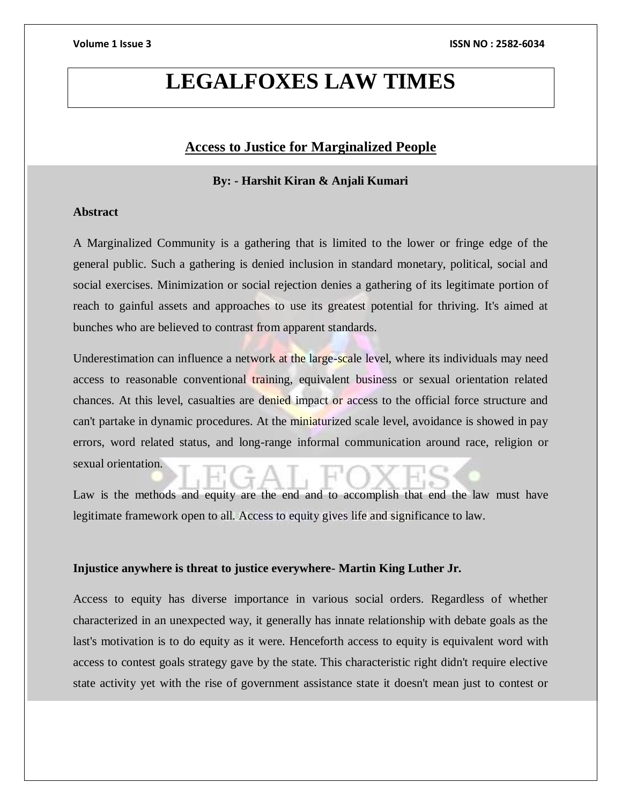# **LEGALFOXES LAW TIMES**

# **Access to Justice for Marginalized People**

# **By: - Harshit Kiran & Anjali Kumari**

## **Abstract**

A Marginalized Community is a gathering that is limited to the lower or fringe edge of the general public. Such a gathering is denied inclusion in standard monetary, political, social and social exercises. Minimization or social rejection denies a gathering of its legitimate portion of reach to gainful assets and approaches to use its greatest potential for thriving. It's aimed at bunches who are believed to contrast from apparent standards.

Underestimation can influence a network at the large-scale level, where its individuals may need access to reasonable conventional training, equivalent business or sexual orientation related chances. At this level, casualties are denied impact or access to the official force structure and can't partake in dynamic procedures. At the miniaturized scale level, avoidance is showed in pay errors, word related status, and long-range informal communication around race, religion or sexual orientation.

Law is the methods and equity are the end and to accomplish that end the law must have legitimate framework open to all. Access to equity gives life and significance to law.

### **Injustice anywhere is threat to justice everywhere- Martin King Luther Jr.**

Access to equity has diverse importance in various social orders. Regardless of whether characterized in an unexpected way, it generally has innate relationship with debate goals as the last's motivation is to do equity as it were. Henceforth access to equity is equivalent word with access to contest goals strategy gave by the state. This characteristic right didn't require elective state activity yet with the rise of government assistance state it doesn't mean just to contest or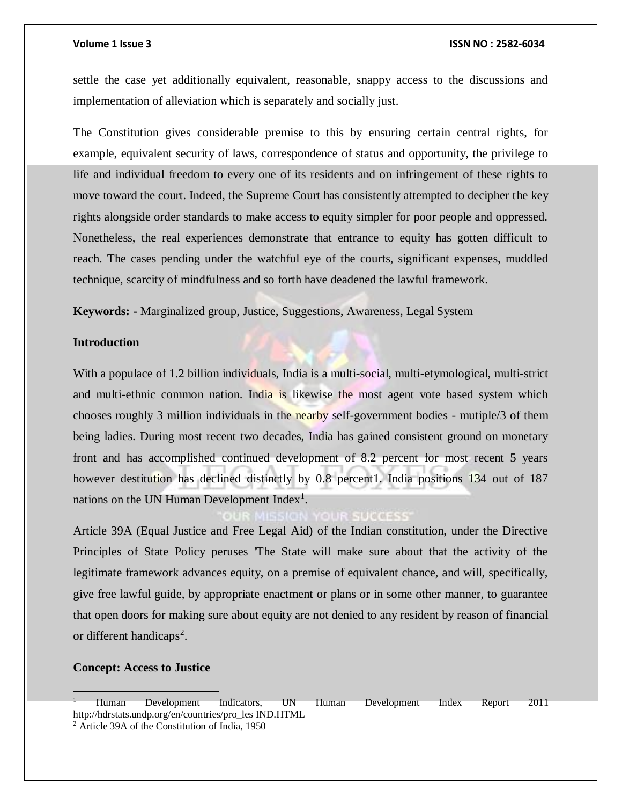settle the case yet additionally equivalent, reasonable, snappy access to the discussions and implementation of alleviation which is separately and socially just.

The Constitution gives considerable premise to this by ensuring certain central rights, for example, equivalent security of laws, correspondence of status and opportunity, the privilege to life and individual freedom to every one of its residents and on infringement of these rights to move toward the court. Indeed, the Supreme Court has consistently attempted to decipher the key rights alongside order standards to make access to equity simpler for poor people and oppressed. Nonetheless, the real experiences demonstrate that entrance to equity has gotten difficult to reach. The cases pending under the watchful eye of the courts, significant expenses, muddled technique, scarcity of mindfulness and so forth have deadened the lawful framework.

**Keywords: -** Marginalized group, Justice, Suggestions, Awareness, Legal System

#### **Introduction**

With a populace of 1.2 billion individuals, India is a multi-social, multi-etymological, multi-strict and multi-ethnic common nation. India is likewise the most agent vote based system which chooses roughly 3 million individuals in the nearby self-government bodies - mutiple/3 of them being ladies. During most recent two decades, India has gained consistent ground on monetary front and has accomplished continued development of 8.2 percent for most recent 5 years however destitution has declined distinctly by 0.8 percent1. India positions 134 out of 187 nations on the UN Human Development Index<sup>1</sup>.

### **OUR SUCCESS**

Article 39A (Equal Justice and Free Legal Aid) of the Indian constitution, under the Directive Principles of State Policy peruses 'The State will make sure about that the activity of the legitimate framework advances equity, on a premise of equivalent chance, and will, specifically, give free lawful guide, by appropriate enactment or plans or in some other manner, to guarantee that open doors for making sure about equity are not denied to any resident by reason of financial or different handicaps<sup>2</sup>.

#### **Concept: Access to Justice**

<sup>1</sup> Human Development Indicators, UN Human Development Index Report 2011 http://hdrstats.undp.org/en/countries/pro\_les IND.HTML

<sup>2</sup> Article 39A of the Constitution of India, 1950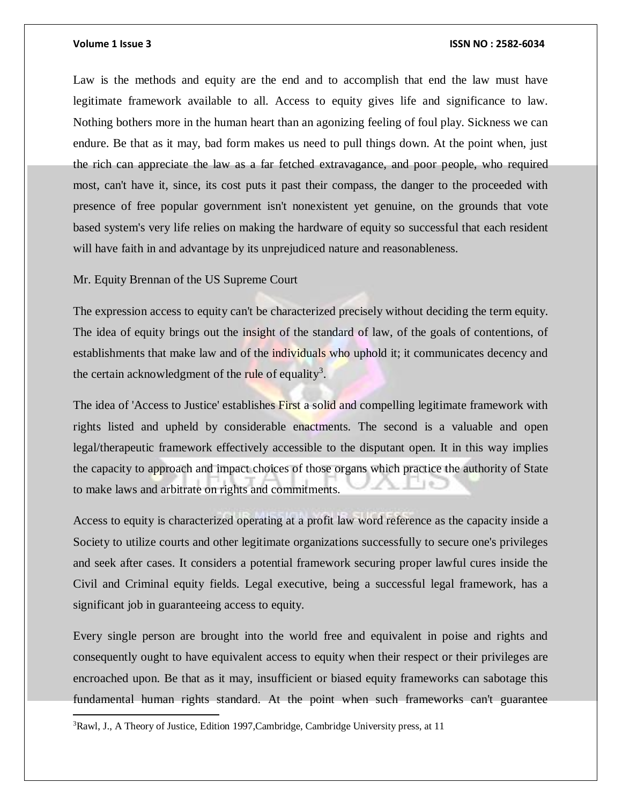$\overline{a}$ 

#### **Volume 1 Issue 3 ISSN NO : 2582-6034**

Law is the methods and equity are the end and to accomplish that end the law must have legitimate framework available to all. Access to equity gives life and significance to law. Nothing bothers more in the human heart than an agonizing feeling of foul play. Sickness we can endure. Be that as it may, bad form makes us need to pull things down. At the point when, just the rich can appreciate the law as a far fetched extravagance, and poor people, who required most, can't have it, since, its cost puts it past their compass, the danger to the proceeded with presence of free popular government isn't nonexistent yet genuine, on the grounds that vote based system's very life relies on making the hardware of equity so successful that each resident will have faith in and advantage by its unprejudiced nature and reasonableness.

Mr. Equity Brennan of the US Supreme Court

The expression access to equity can't be characterized precisely without deciding the term equity. The idea of equity brings out the insight of the standard of law, of the goals of contentions, of establishments that make law and of the individuals who uphold it; it communicates decency and the certain acknowledgment of the rule of equality<sup>3</sup>.

The idea of 'Access to Justice' establishes First a solid and compelling legitimate framework with rights listed and upheld by considerable enactments. The second is a valuable and open legal/therapeutic framework effectively accessible to the disputant open. It in this way implies the capacity to approach and impact choices of those organs which practice the authority of State to make laws and arbitrate on rights and commitments.

Access to equity is characterized operating at a profit law word reference as the capacity inside a Society to utilize courts and other legitimate organizations successfully to secure one's privileges and seek after cases. It considers a potential framework securing proper lawful cures inside the Civil and Criminal equity fields. Legal executive, being a successful legal framework, has a significant job in guaranteeing access to equity.

Every single person are brought into the world free and equivalent in poise and rights and consequently ought to have equivalent access to equity when their respect or their privileges are encroached upon. Be that as it may, insufficient or biased equity frameworks can sabotage this fundamental human rights standard. At the point when such frameworks can't guarantee

<sup>3</sup>Rawl, J., A Theory of Justice, Edition 1997,Cambridge, Cambridge University press, at 11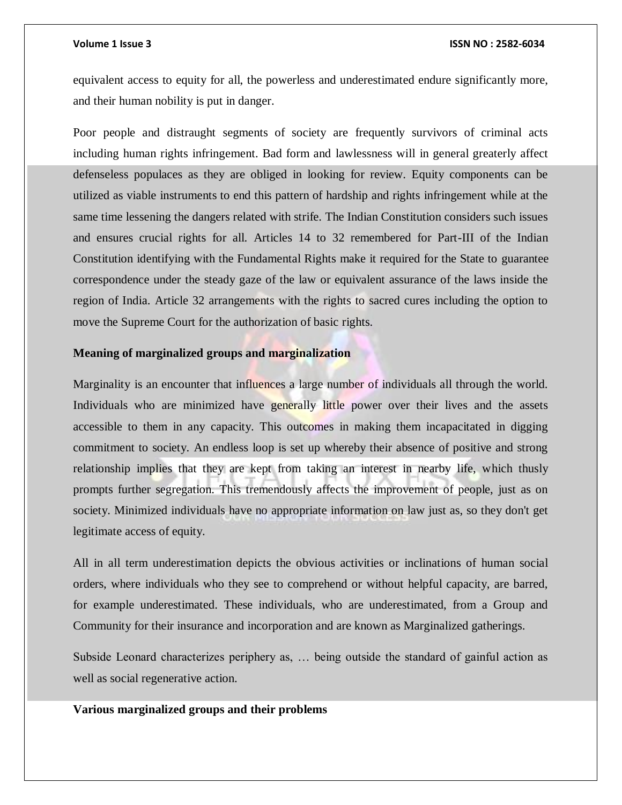equivalent access to equity for all, the powerless and underestimated endure significantly more, and their human nobility is put in danger.

Poor people and distraught segments of society are frequently survivors of criminal acts including human rights infringement. Bad form and lawlessness will in general greaterly affect defenseless populaces as they are obliged in looking for review. Equity components can be utilized as viable instruments to end this pattern of hardship and rights infringement while at the same time lessening the dangers related with strife. The Indian Constitution considers such issues and ensures crucial rights for all. Articles 14 to 32 remembered for Part-III of the Indian Constitution identifying with the Fundamental Rights make it required for the State to guarantee correspondence under the steady gaze of the law or equivalent assurance of the laws inside the region of India. Article 32 arrangements with the rights to sacred cures including the option to move the Supreme Court for the authorization of basic rights.

#### **Meaning of marginalized groups and marginalization**

Marginality is an encounter that influences a large number of individuals all through the world. Individuals who are minimized have generally little power over their lives and the assets accessible to them in any capacity. This outcomes in making them incapacitated in digging commitment to society. An endless loop is set up whereby their absence of positive and strong relationship implies that they are kept from taking an interest in nearby life, which thusly prompts further segregation. This tremendously affects the improvement of people, just as on society. Minimized individuals have no appropriate information on law just as, so they don't get legitimate access of equity.

All in all term underestimation depicts the obvious activities or inclinations of human social orders, where individuals who they see to comprehend or without helpful capacity, are barred, for example underestimated. These individuals, who are underestimated, from a Group and Community for their insurance and incorporation and are known as Marginalized gatherings.

Subside Leonard characterizes periphery as, … being outside the standard of gainful action as well as social regenerative action.

### **Various marginalized groups and their problems**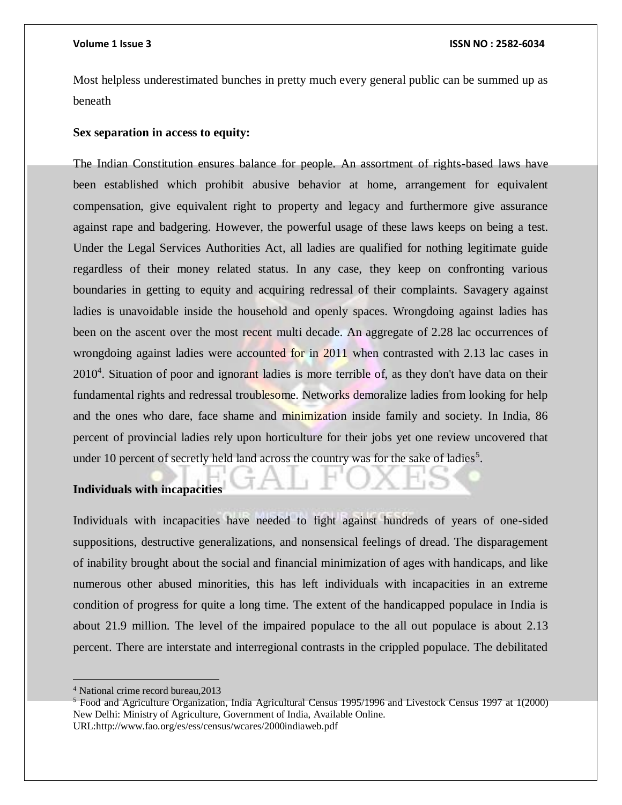Most helpless underestimated bunches in pretty much every general public can be summed up as beneath

### **Sex separation in access to equity:**

The Indian Constitution ensures balance for people. An assortment of rights-based laws have been established which prohibit abusive behavior at home, arrangement for equivalent compensation, give equivalent right to property and legacy and furthermore give assurance against rape and badgering. However, the powerful usage of these laws keeps on being a test. Under the Legal Services Authorities Act, all ladies are qualified for nothing legitimate guide regardless of their money related status. In any case, they keep on confronting various boundaries in getting to equity and acquiring redressal of their complaints. Savagery against ladies is unavoidable inside the household and openly spaces. Wrongdoing against ladies has been on the ascent over the most recent multi decade. An aggregate of 2.28 lac occurrences of wrongdoing against ladies were accounted for in 2011 when contrasted with 2.13 lac cases in 2010<sup>4</sup>. Situation of poor and ignorant ladies is more terrible of, as they don't have data on their fundamental rights and redressal troublesome. Networks demoralize ladies from looking for help and the ones who dare, face shame and minimization inside family and society. In India, 86 percent of provincial ladies rely upon horticulture for their jobs yet one review uncovered that under 10 percent of secretly held land across the country was for the sake of ladies<sup>5</sup>.

# **Individuals with incapacities**

Individuals with incapacities have needed to fight against hundreds of years of one-sided suppositions, destructive generalizations, and nonsensical feelings of dread. The disparagement of inability brought about the social and financial minimization of ages with handicaps, and like numerous other abused minorities, this has left individuals with incapacities in an extreme condition of progress for quite a long time. The extent of the handicapped populace in India is about 21.9 million. The level of the impaired populace to the all out populace is about 2.13 percent. There are interstate and interregional contrasts in the crippled populace. The debilitated

<sup>4</sup> National crime record bureau,2013

<sup>5</sup> Food and Agriculture Organization, India Agricultural Census 1995/1996 and Livestock Census 1997 at 1(2000) New Delhi: Ministry of Agriculture, Government of India, Available Online. URL:http://www.fao.org/es/ess/census/wcares/2000indiaweb.pdf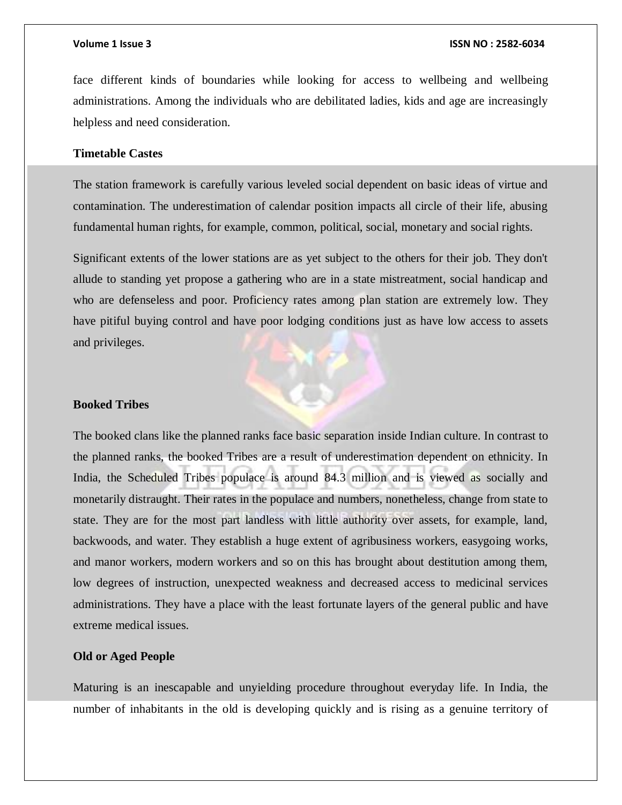face different kinds of boundaries while looking for access to wellbeing and wellbeing administrations. Among the individuals who are debilitated ladies, kids and age are increasingly helpless and need consideration.

### **Timetable Castes**

The station framework is carefully various leveled social dependent on basic ideas of virtue and contamination. The underestimation of calendar position impacts all circle of their life, abusing fundamental human rights, for example, common, political, social, monetary and social rights.

Significant extents of the lower stations are as yet subject to the others for their job. They don't allude to standing yet propose a gathering who are in a state mistreatment, social handicap and who are defenseless and poor. Proficiency rates among plan station are extremely low. They have pitiful buying control and have poor lodging conditions just as have low access to assets and privileges.

#### **Booked Tribes**

The booked clans like the planned ranks face basic separation inside Indian culture. In contrast to the planned ranks, the booked Tribes are a result of underestimation dependent on ethnicity. In India, the Scheduled Tribes populace is around 84.3 million and is viewed as socially and monetarily distraught. Their rates in the populace and numbers, nonetheless, change from state to state. They are for the most part landless with little authority over assets, for example, land, backwoods, and water. They establish a huge extent of agribusiness workers, easygoing works, and manor workers, modern workers and so on this has brought about destitution among them, low degrees of instruction, unexpected weakness and decreased access to medicinal services administrations. They have a place with the least fortunate layers of the general public and have extreme medical issues.

### **Old or Aged People**

Maturing is an inescapable and unyielding procedure throughout everyday life. In India, the number of inhabitants in the old is developing quickly and is rising as a genuine territory of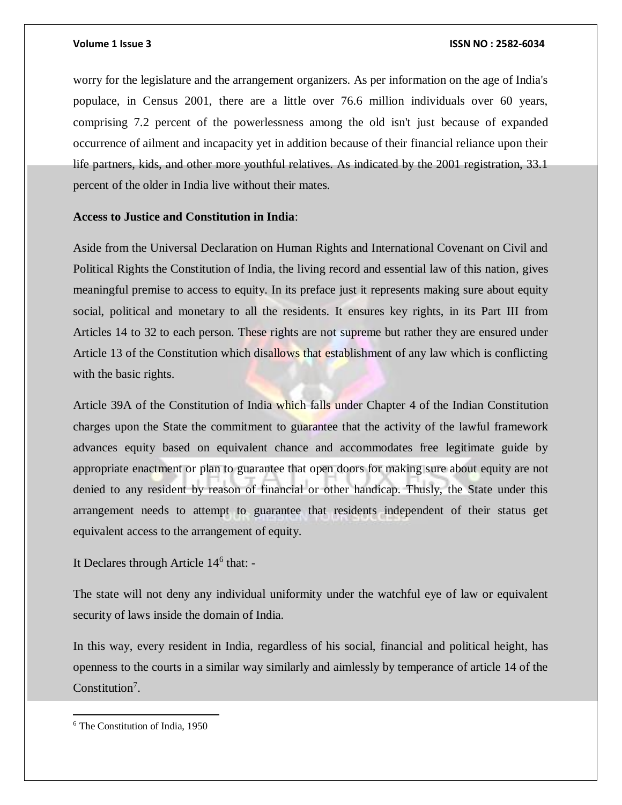worry for the legislature and the arrangement organizers. As per information on the age of India's populace, in Census 2001, there are a little over 76.6 million individuals over 60 years, comprising 7.2 percent of the powerlessness among the old isn't just because of expanded occurrence of ailment and incapacity yet in addition because of their financial reliance upon their life partners, kids, and other more youthful relatives. As indicated by the 2001 registration, 33.1 percent of the older in India live without their mates.

#### **Access to Justice and Constitution in India**:

Aside from the Universal Declaration on Human Rights and International Covenant on Civil and Political Rights the Constitution of India, the living record and essential law of this nation, gives meaningful premise to access to equity. In its preface just it represents making sure about equity social, political and monetary to all the residents. It ensures key rights, in its Part III from Articles 14 to 32 to each person. These rights are not supreme but rather they are ensured under Article 13 of the Constitution which disallows that establishment of any law which is conflicting with the basic rights.

Article 39A of the Constitution of India which falls under Chapter 4 of the Indian Constitution charges upon the State the commitment to guarantee that the activity of the lawful framework advances equity based on equivalent chance and accommodates free legitimate guide by appropriate enactment or plan to guarantee that open doors for making sure about equity are not denied to any resident by reason of financial or other handicap. Thusly, the State under this arrangement needs to attempt to guarantee that residents independent of their status get equivalent access to the arrangement of equity.

It Declares through Article 14<sup>6</sup> that: -

The state will not deny any individual uniformity under the watchful eye of law or equivalent security of laws inside the domain of India.

In this way, every resident in India, regardless of his social, financial and political height, has openness to the courts in a similar way similarly and aimlessly by temperance of article 14 of the Constitution<sup>7</sup>.

<sup>6</sup> The Constitution of India, 1950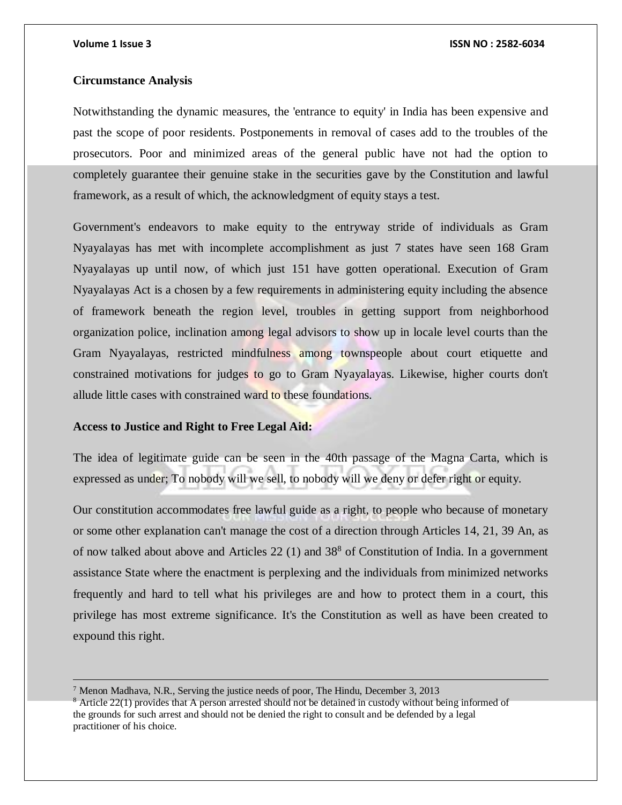### **Circumstance Analysis**

Notwithstanding the dynamic measures, the 'entrance to equity' in India has been expensive and past the scope of poor residents. Postponements in removal of cases add to the troubles of the prosecutors. Poor and minimized areas of the general public have not had the option to completely guarantee their genuine stake in the securities gave by the Constitution and lawful framework, as a result of which, the acknowledgment of equity stays a test.

Government's endeavors to make equity to the entryway stride of individuals as Gram Nyayalayas has met with incomplete accomplishment as just 7 states have seen 168 Gram Nyayalayas up until now, of which just 151 have gotten operational. Execution of Gram Nyayalayas Act is a chosen by a few requirements in administering equity including the absence of framework beneath the region level, troubles in getting support from neighborhood organization police, inclination among legal advisors to show up in locale level courts than the Gram Nyayalayas, restricted mindfulness among townspeople about court etiquette and constrained motivations for judges to go to Gram Nyayalayas. Likewise, higher courts don't allude little cases with constrained ward to these foundations.

### **Access to Justice and Right to Free Legal Aid:**

The idea of legitimate guide can be seen in the 40th passage of the Magna Carta, which is expressed as under; To nobody will we sell, to nobody will we deny or defer right or equity.

Our constitution accommodates free lawful guide as a right, to people who because of monetary or some other explanation can't manage the cost of a direction through Articles 14, 21, 39 An, as of now talked about above and Articles  $22(1)$  and  $38<sup>8</sup>$  of Constitution of India. In a government assistance State where the enactment is perplexing and the individuals from minimized networks frequently and hard to tell what his privileges are and how to protect them in a court, this privilege has most extreme significance. It's the Constitution as well as have been created to expound this right.

 $<sup>7</sup>$  Menon Madhava, N.R., Serving the justice needs of poor, The Hindu, December 3, 2013</sup>

<sup>&</sup>lt;sup>8</sup> Article 22(1) provides that A person arrested should not be detained in custody without being informed of the grounds for such arrest and should not be denied the right to consult and be defended by a legal practitioner of his choice.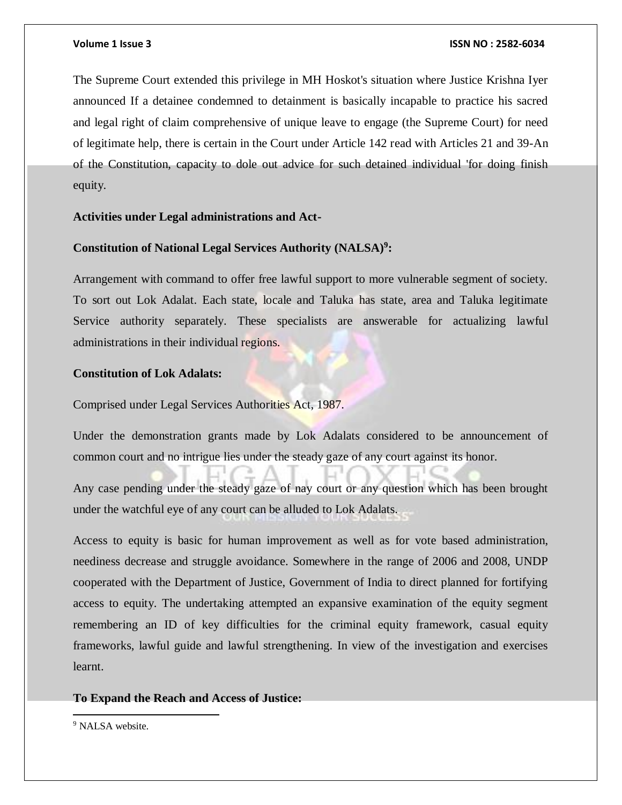The Supreme Court extended this privilege in MH Hoskot's situation where Justice Krishna Iyer announced If a detainee condemned to detainment is basically incapable to practice his sacred and legal right of claim comprehensive of unique leave to engage (the Supreme Court) for need of legitimate help, there is certain in the Court under Article 142 read with Articles 21 and 39-An of the Constitution, capacity to dole out advice for such detained individual 'for doing finish equity.

### **Activities under Legal administrations and Act-**

# **Constitution of National Legal Services Authority (NALSA)<sup>9</sup> :**

Arrangement with command to offer free lawful support to more vulnerable segment of society. To sort out Lok Adalat. Each state, locale and Taluka has state, area and Taluka legitimate Service authority separately. These specialists are answerable for actualizing lawful administrations in their individual regions.

### **Constitution of Lok Adalats:**

Comprised under Legal Services Authorities Act, 1987.

Under the demonstration grants made by Lok Adalats considered to be announcement of common court and no intrigue lies under the steady gaze of any court against its honor.

Any case pending under the steady gaze of nay court or any question which has been brought under the watchful eye of any court can be alluded to Lok Adalats.

Access to equity is basic for human improvement as well as for vote based administration, neediness decrease and struggle avoidance. Somewhere in the range of 2006 and 2008, UNDP cooperated with the Department of Justice, Government of India to direct planned for fortifying access to equity. The undertaking attempted an expansive examination of the equity segment remembering an ID of key difficulties for the criminal equity framework, casual equity frameworks, lawful guide and lawful strengthening. In view of the investigation and exercises learnt.

### **To Expand the Reach and Access of Justice:**

<sup>9</sup> NALSA website.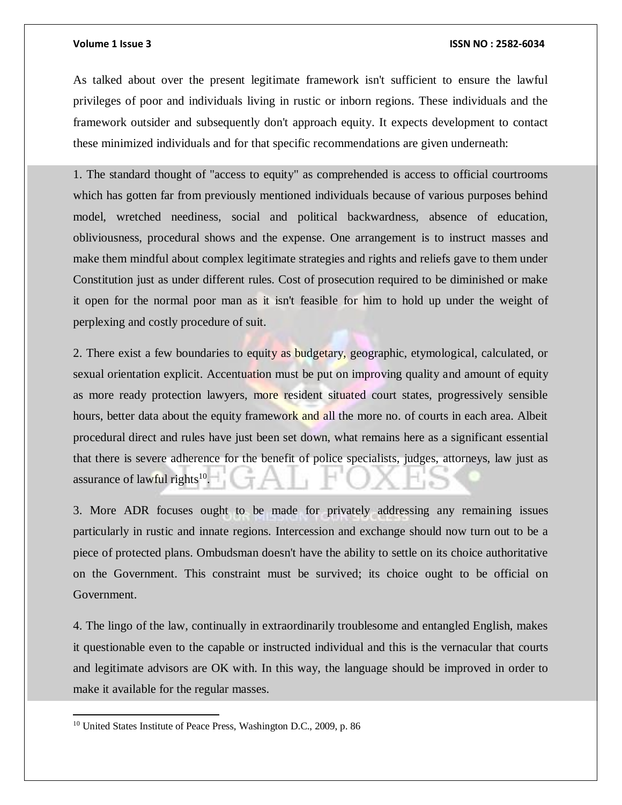As talked about over the present legitimate framework isn't sufficient to ensure the lawful privileges of poor and individuals living in rustic or inborn regions. These individuals and the framework outsider and subsequently don't approach equity. It expects development to contact these minimized individuals and for that specific recommendations are given underneath:

1. The standard thought of "access to equity" as comprehended is access to official courtrooms which has gotten far from previously mentioned individuals because of various purposes behind model, wretched neediness, social and political backwardness, absence of education, obliviousness, procedural shows and the expense. One arrangement is to instruct masses and make them mindful about complex legitimate strategies and rights and reliefs gave to them under Constitution just as under different rules. Cost of prosecution required to be diminished or make it open for the normal poor man as it isn't feasible for him to hold up under the weight of perplexing and costly procedure of suit.

2. There exist a few boundaries to equity as budgetary, geographic, etymological, calculated, or sexual orientation explicit. Accentuation must be put on improving quality and amount of equity as more ready protection lawyers, more resident situated court states, progressively sensible hours, better data about the equity framework and all the more no. of courts in each area. Albeit procedural direct and rules have just been set down, what remains here as a significant essential that there is severe adherence for the benefit of police specialists, judges, attorneys, law just as assurance of lawful rights<sup>10</sup>.

3. More ADR focuses ought to be made for privately addressing any remaining issues particularly in rustic and innate regions. Intercession and exchange should now turn out to be a piece of protected plans. Ombudsman doesn't have the ability to settle on its choice authoritative on the Government. This constraint must be survived; its choice ought to be official on Government.

4. The lingo of the law, continually in extraordinarily troublesome and entangled English, makes it questionable even to the capable or instructed individual and this is the vernacular that courts and legitimate advisors are OK with. In this way, the language should be improved in order to make it available for the regular masses.

<sup>&</sup>lt;sup>10</sup> United States Institute of Peace Press, Washington D.C., 2009, p. 86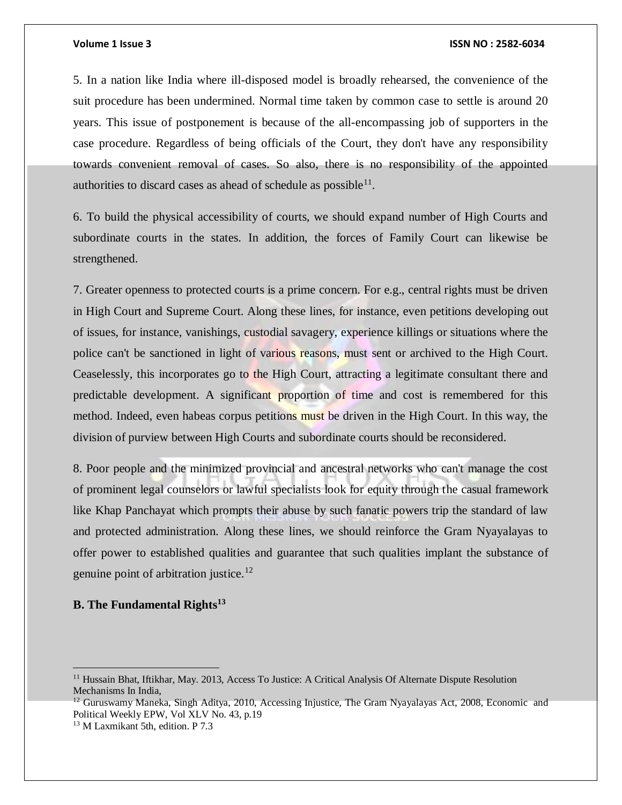5. In a nation like India where ill-disposed model is broadly rehearsed, the convenience of the suit procedure has been undermined. Normal time taken by common case to settle is around 20 years. This issue of postponement is because of the all-encompassing job of supporters in the case procedure. Regardless of being officials of the Court, they don't have any responsibility towards convenient removal of cases. So also, there is no responsibility of the appointed authorities to discard cases as ahead of schedule as possible $^{11}$ .

6. To build the physical accessibility of courts, we should expand number of High Courts and subordinate courts in the states. In addition, the forces of Family Court can likewise be strengthened.

7. Greater openness to protected courts is a prime concern. For e.g., central rights must be driven in High Court and Supreme Court. Along these lines, for instance, even petitions developing out of issues, for instance, vanishings, custodial savagery, experience killings or situations where the police can't be sanctioned in light of various reasons, must sent or archived to the High Court. Ceaselessly, this incorporates go to the High Court, attracting a legitimate consultant there and predictable development. A significant proportion of time and cost is remembered for this method. Indeed, even habeas corpus petitions must be driven in the High Court. In this way, the division of purview between High Courts and subordinate courts should be reconsidered.

8. Poor people and the minimized provincial and ancestral networks who can't manage the cost of prominent legal counselors or lawful specialists look for equity through the casual framework like Khap Panchayat which prompts their abuse by such fanatic powers trip the standard of law and protected administration. Along these lines, we should reinforce the Gram Nyayalayas to offer power to established qualities and guarantee that such qualities implant the substance of genuine point of arbitration justice.<sup>12</sup>

# **B. The Fundamental Rights<sup>13</sup>**

<sup>&</sup>lt;sup>11</sup> Hussain Bhat, Iftikhar, May. 2013, Access To Justice: A Critical Analysis Of Alternate Dispute Resolution Mechanisms In India,

<sup>&</sup>lt;sup>12</sup> Guruswamy Maneka, Singh Aditya, 2010, Accessing Injustice, The Gram Nyayalayas Act, 2008, Economic and Political Weekly EPW, Vol XLV No. 43, p.19

<sup>13</sup> M Laxmikant 5th, edition. P 7.3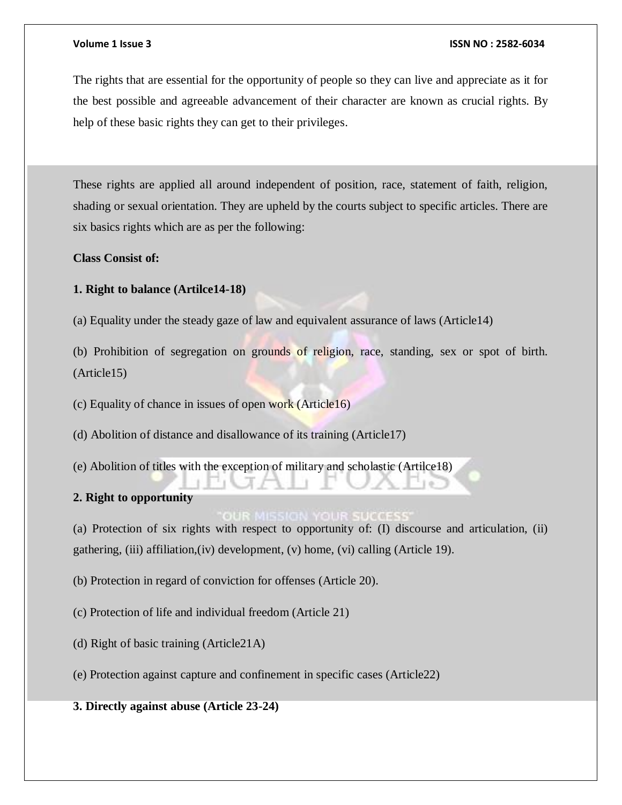The rights that are essential for the opportunity of people so they can live and appreciate as it for the best possible and agreeable advancement of their character are known as crucial rights. By help of these basic rights they can get to their privileges.

These rights are applied all around independent of position, race, statement of faith, religion, shading or sexual orientation. They are upheld by the courts subject to specific articles. There are six basics rights which are as per the following:

**Class Consist of:** 

**1. Right to balance (Artilce14-18)** 

(a) Equality under the steady gaze of law and equivalent assurance of laws (Article14)

(b) Prohibition of segregation on grounds of religion, race, standing, sex or spot of birth. (Article15)

(c) Equality of chance in issues of open work (Article16)

(d) Abolition of distance and disallowance of its training (Article17)

(e) Abolition of titles with the exception of military and scholastic (Artilce18)

# **2. Right to opportunity**

(a) Protection of six rights with respect to opportunity of: (I) discourse and articulation, (ii) gathering, (iii) affiliation,(iv) development, (v) home, (vi) calling (Article 19).

(b) Protection in regard of conviction for offenses (Article 20).

(c) Protection of life and individual freedom (Article 21)

- (d) Right of basic training (Article21A)
- (e) Protection against capture and confinement in specific cases (Article22)

**3. Directly against abuse (Article 23-24)**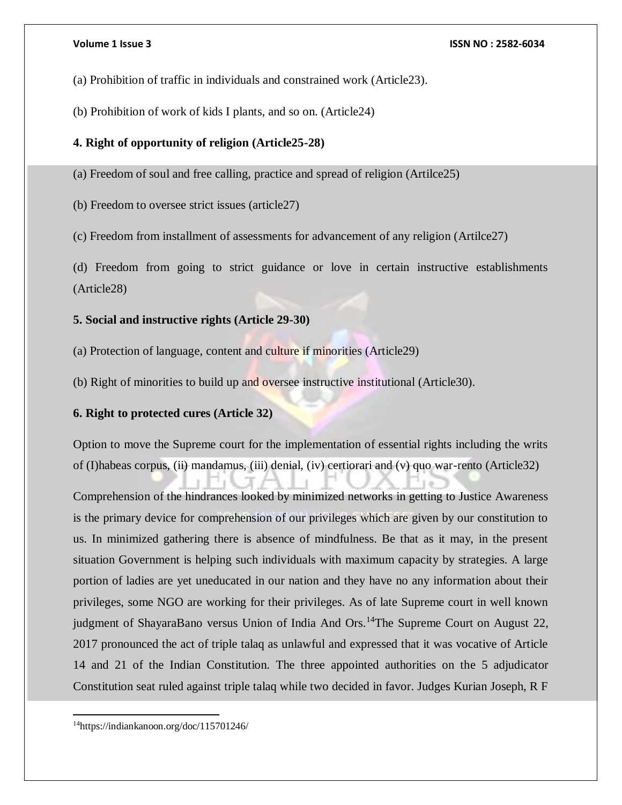(a) Prohibition of traffic in individuals and constrained work (Article23).

(b) Prohibition of work of kids I plants, and so on. (Article24)

# **4. Right of opportunity of religion (Article25-28)**

(a) Freedom of soul and free calling, practice and spread of religion (Artilce25)

(b) Freedom to oversee strict issues (article27)

(c) Freedom from installment of assessments for advancement of any religion (Artilce27)

(d) Freedom from going to strict guidance or love in certain instructive establishments (Article28)

# **5. Social and instructive rights (Article 29-30)**

- (a) Protection of language, content and culture if minorities (Article29)
- (b) Right of minorities to build up and oversee instructive institutional (Article30).

# **6. Right to protected cures (Article 32)**

Option to move the Supreme court for the implementation of essential rights including the writs of (I)habeas corpus, (ii) mandamus, (iii) denial, (iv) certiorari and (v) quo war-rento (Article32)

Comprehension of the hindrances looked by minimized networks in getting to Justice Awareness is the primary device for comprehension of our privileges which are given by our constitution to us. In minimized gathering there is absence of mindfulness. Be that as it may, in the present situation Government is helping such individuals with maximum capacity by strategies. A large portion of ladies are yet uneducated in our nation and they have no any information about their privileges, some NGO are working for their privileges. As of late Supreme court in well known judgment of ShayaraBano versus Union of India And Ors.<sup>14</sup>The Supreme Court on August 22, 2017 pronounced the act of triple talaq as unlawful and expressed that it was vocative of Article 14 and 21 of the Indian Constitution. The three appointed authorities on the 5 adjudicator Constitution seat ruled against triple talaq while two decided in favor. Judges Kurian Joseph, R F

 $\overline{a}$ 14https://indiankanoon.org/doc/115701246/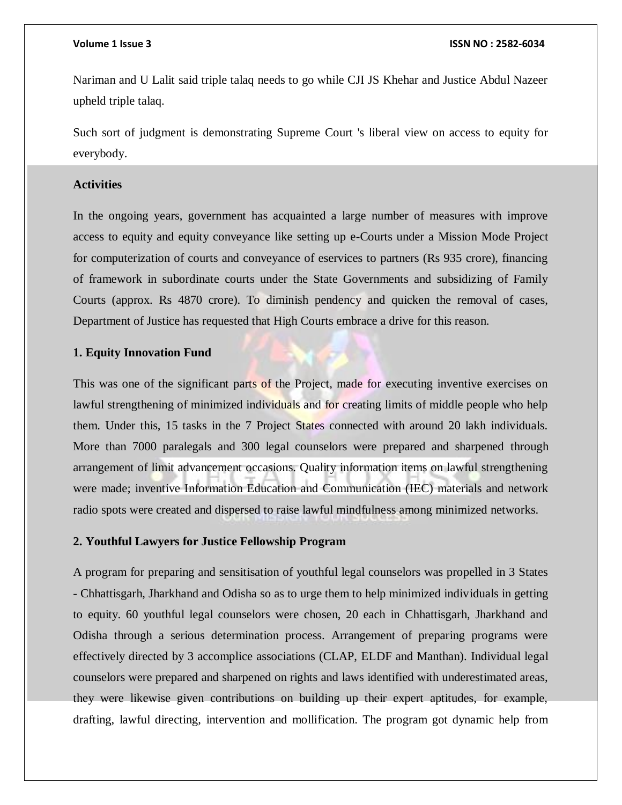Nariman and U Lalit said triple talaq needs to go while CJI JS Khehar and Justice Abdul Nazeer upheld triple talaq.

Such sort of judgment is demonstrating Supreme Court 's liberal view on access to equity for everybody.

### **Activities**

In the ongoing years, government has acquainted a large number of measures with improve access to equity and equity conveyance like setting up e-Courts under a Mission Mode Project for computerization of courts and conveyance of eservices to partners (Rs 935 crore), financing of framework in subordinate courts under the State Governments and subsidizing of Family Courts (approx. Rs 4870 crore). To diminish pendency and quicken the removal of cases, Department of Justice has requested that High Courts embrace a drive for this reason.

# **1. Equity Innovation Fund**

This was one of the significant parts of the Project, made for executing inventive exercises on lawful strengthening of minimized individuals and for creating limits of middle people who help them. Under this, 15 tasks in the 7 Project States connected with around 20 lakh individuals. More than 7000 paralegals and 300 legal counselors were prepared and sharpened through arrangement of limit advancement occasions. Quality information items on lawful strengthening were made; inventive Information Education and Communication (IEC) materials and network radio spots were created and dispersed to raise lawful mindfulness among minimized networks.

### **2. Youthful Lawyers for Justice Fellowship Program**

A program for preparing and sensitisation of youthful legal counselors was propelled in 3 States - Chhattisgarh, Jharkhand and Odisha so as to urge them to help minimized individuals in getting to equity. 60 youthful legal counselors were chosen, 20 each in Chhattisgarh, Jharkhand and Odisha through a serious determination process. Arrangement of preparing programs were effectively directed by 3 accomplice associations (CLAP, ELDF and Manthan). Individual legal counselors were prepared and sharpened on rights and laws identified with underestimated areas, they were likewise given contributions on building up their expert aptitudes, for example, drafting, lawful directing, intervention and mollification. The program got dynamic help from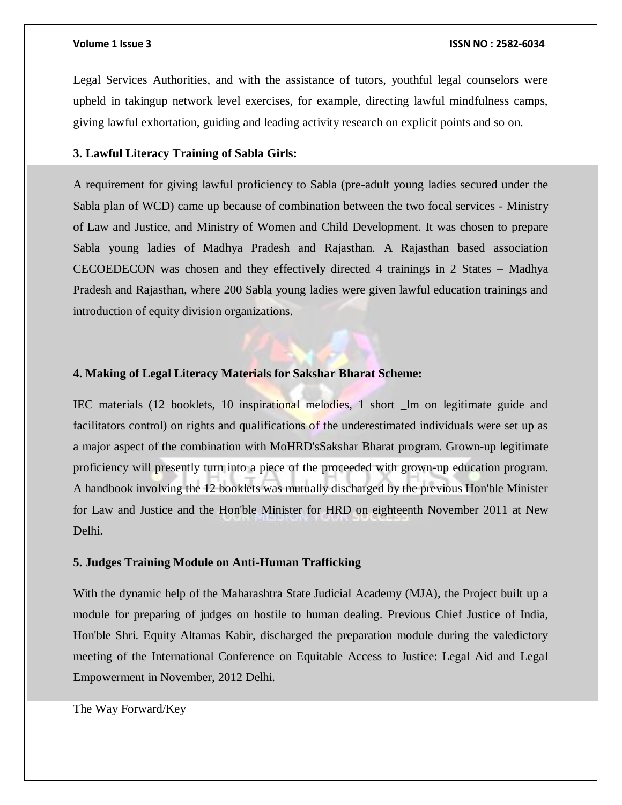Legal Services Authorities, and with the assistance of tutors, youthful legal counselors were upheld in takingup network level exercises, for example, directing lawful mindfulness camps, giving lawful exhortation, guiding and leading activity research on explicit points and so on.

### **3. Lawful Literacy Training of Sabla Girls:**

A requirement for giving lawful proficiency to Sabla (pre-adult young ladies secured under the Sabla plan of WCD) came up because of combination between the two focal services - Ministry of Law and Justice, and Ministry of Women and Child Development. It was chosen to prepare Sabla young ladies of Madhya Pradesh and Rajasthan. A Rajasthan based association CECOEDECON was chosen and they effectively directed 4 trainings in 2 States – Madhya Pradesh and Rajasthan, where 200 Sabla young ladies were given lawful education trainings and introduction of equity division organizations.

### **4. Making of Legal Literacy Materials for Sakshar Bharat Scheme:**

IEC materials (12 booklets, 10 inspirational melodies, 1 short \_lm on legitimate guide and facilitators control) on rights and qualifications of the underestimated individuals were set up as a major aspect of the combination with MoHRD'sSakshar Bharat program. Grown-up legitimate proficiency will presently turn into a piece of the proceeded with grown-up education program. A handbook involving the 12 booklets was mutually discharged by the previous Hon'ble Minister for Law and Justice and the Hon'ble Minister for HRD on eighteenth November 2011 at New Delhi.

# **5. Judges Training Module on Anti-Human Trafficking**

With the dynamic help of the Maharashtra State Judicial Academy (MJA), the Project built up a module for preparing of judges on hostile to human dealing. Previous Chief Justice of India, Hon'ble Shri. Equity Altamas Kabir, discharged the preparation module during the valedictory meeting of the International Conference on Equitable Access to Justice: Legal Aid and Legal Empowerment in November, 2012 Delhi.

The Way Forward/Key